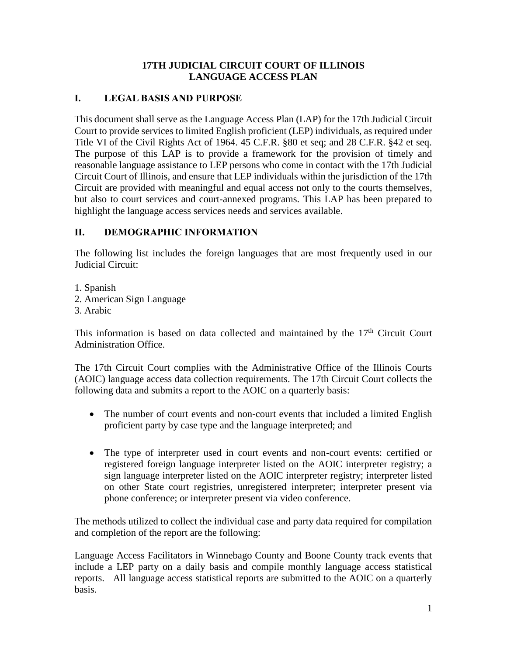#### **17TH JUDICIAL CIRCUIT COURT OF ILLINOIS LANGUAGE ACCESS PLAN**

### **I. LEGAL BASIS AND PURPOSE**

This document shall serve as the Language Access Plan (LAP) for the 17th Judicial Circuit Court to provide services to limited English proficient (LEP) individuals, as required under Title VI of the Civil Rights Act of 1964. 45 C.F.R. §80 et seq; and 28 C.F.R. §42 et seq. The purpose of this LAP is to provide a framework for the provision of timely and reasonable language assistance to LEP persons who come in contact with the 17th Judicial Circuit Court of Illinois, and ensure that LEP individuals within the jurisdiction of the 17th Circuit are provided with meaningful and equal access not only to the courts themselves, but also to court services and court-annexed programs. This LAP has been prepared to highlight the language access services needs and services available.

### **II. DEMOGRAPHIC INFORMATION**

The following list includes the foreign languages that are most frequently used in our Judicial Circuit:

1. Spanish

- 2. American Sign Language
- 3. Arabic

This information is based on data collected and maintained by the  $17<sup>th</sup>$  Circuit Court Administration Office.

The 17th Circuit Court complies with the Administrative Office of the Illinois Courts (AOIC) language access data collection requirements. The 17th Circuit Court collects the following data and submits a report to the AOIC on a quarterly basis:

- The number of court events and non-court events that included a limited English proficient party by case type and the language interpreted; and
- The type of interpreter used in court events and non-court events: certified or registered foreign language interpreter listed on the AOIC interpreter registry; a sign language interpreter listed on the AOIC interpreter registry; interpreter listed on other State court registries, unregistered interpreter; interpreter present via phone conference; or interpreter present via video conference.

The methods utilized to collect the individual case and party data required for compilation and completion of the report are the following:

Language Access Facilitators in Winnebago County and Boone County track events that include a LEP party on a daily basis and compile monthly language access statistical reports. All language access statistical reports are submitted to the AOIC on a quarterly basis.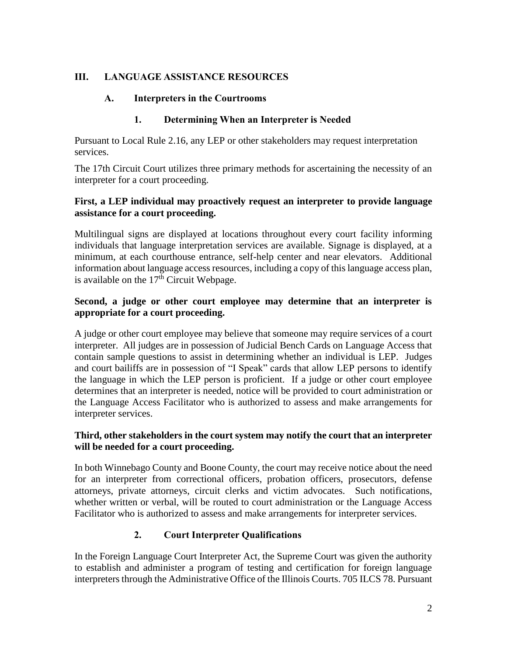## **III. LANGUAGE ASSISTANCE RESOURCES**

#### **A. Interpreters in the Courtrooms**

#### **1. Determining When an Interpreter is Needed**

Pursuant to Local Rule 2.16, any LEP or other stakeholders may request interpretation services.

The 17th Circuit Court utilizes three primary methods for ascertaining the necessity of an interpreter for a court proceeding.

#### **First, a LEP individual may proactively request an interpreter to provide language assistance for a court proceeding.**

Multilingual signs are displayed at locations throughout every court facility informing individuals that language interpretation services are available. Signage is displayed, at a minimum, at each courthouse entrance, self-help center and near elevators. Additional information about language access resources, including a copy of this language access plan, is available on the  $17<sup>th</sup>$  Circuit Webpage.

#### **Second, a judge or other court employee may determine that an interpreter is appropriate for a court proceeding.**

A judge or other court employee may believe that someone may require services of a court interpreter. All judges are in possession of Judicial Bench Cards on Language Access that contain sample questions to assist in determining whether an individual is LEP. Judges and court bailiffs are in possession of "I Speak" cards that allow LEP persons to identify the language in which the LEP person is proficient. If a judge or other court employee determines that an interpreter is needed, notice will be provided to court administration or the Language Access Facilitator who is authorized to assess and make arrangements for interpreter services.

#### **Third, other stakeholders in the court system may notify the court that an interpreter will be needed for a court proceeding.**

In both Winnebago County and Boone County, the court may receive notice about the need for an interpreter from correctional officers, probation officers, prosecutors, defense attorneys, private attorneys, circuit clerks and victim advocates. Such notifications, whether written or verbal, will be routed to court administration or the Language Access Facilitator who is authorized to assess and make arrangements for interpreter services.

## **2. Court Interpreter Qualifications**

In the Foreign Language Court Interpreter Act, the Supreme Court was given the authority to establish and administer a program of testing and certification for foreign language interpreters through the Administrative Office of the Illinois Courts. 705 ILCS 78. Pursuant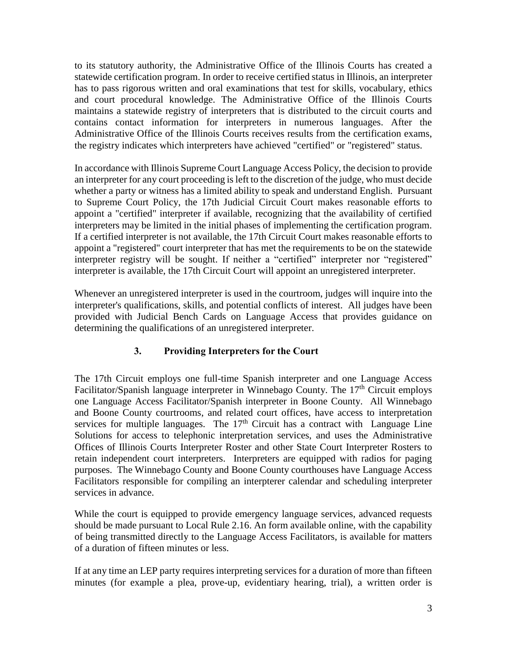to its statutory authority, the Administrative Office of the Illinois Courts has created a statewide certification program. In order to receive certified status in Illinois, an interpreter has to pass rigorous written and oral examinations that test for skills, vocabulary, ethics and court procedural knowledge. The Administrative Office of the Illinois Courts maintains a statewide registry of interpreters that is distributed to the circuit courts and contains contact information for interpreters in numerous languages. After the Administrative Office of the Illinois Courts receives results from the certification exams, the registry indicates which interpreters have achieved "certified" or "registered" status.

In accordance with Illinois Supreme Court Language Access Policy, the decision to provide an interpreter for any court proceeding is left to the discretion of the judge, who must decide whether a party or witness has a limited ability to speak and understand English. Pursuant to Supreme Court Policy, the 17th Judicial Circuit Court makes reasonable efforts to appoint a "certified" interpreter if available, recognizing that the availability of certified interpreters may be limited in the initial phases of implementing the certification program. If a certified interpreter is not available, the 17th Circuit Court makes reasonable efforts to appoint a "registered" court interpreter that has met the requirements to be on the statewide interpreter registry will be sought. If neither a "certified" interpreter nor "registered" interpreter is available, the 17th Circuit Court will appoint an unregistered interpreter.

Whenever an unregistered interpreter is used in the courtroom, judges will inquire into the interpreter's qualifications, skills, and potential conflicts of interest. All judges have been provided with Judicial Bench Cards on Language Access that provides guidance on determining the qualifications of an unregistered interpreter.

## **3. Providing Interpreters for the Court**

The 17th Circuit employs one full-time Spanish interpreter and one Language Access Facilitator/Spanish language interpreter in Winnebago County. The  $17<sup>th</sup>$  Circuit employs one Language Access Facilitator/Spanish interpreter in Boone County. All Winnebago and Boone County courtrooms, and related court offices, have access to interpretation services for multiple languages. The  $17<sup>th</sup>$  Circuit has a contract with Language Line Solutions for access to telephonic interpretation services, and uses the Administrative Offices of Illinois Courts Interpreter Roster and other State Court Interpreter Rosters to retain independent court interpreters. Interpreters are equipped with radios for paging purposes. The Winnebago County and Boone County courthouses have Language Access Facilitators responsible for compiling an interpterer calendar and scheduling interpreter services in advance.

While the court is equipped to provide emergency language services, advanced requests should be made pursuant to Local Rule 2.16. An form available online, with the capability of being transmitted directly to the Language Access Facilitators, is available for matters of a duration of fifteen minutes or less.

If at any time an LEP party requires interpreting services for a duration of more than fifteen minutes (for example a plea, prove-up, evidentiary hearing, trial), a written order is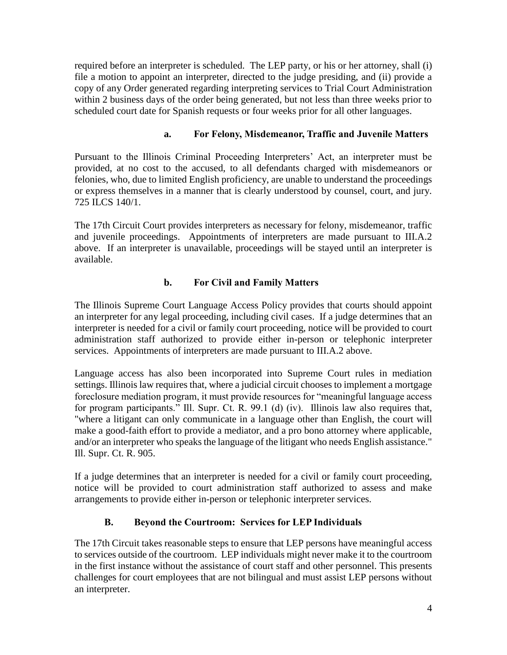required before an interpreter is scheduled. The LEP party, or his or her attorney, shall (i) file a motion to appoint an interpreter, directed to the judge presiding, and (ii) provide a copy of any Order generated regarding interpreting services to Trial Court Administration within 2 business days of the order being generated, but not less than three weeks prior to scheduled court date for Spanish requests or four weeks prior for all other languages.

## **a. For Felony, Misdemeanor, Traffic and Juvenile Matters**

Pursuant to the Illinois Criminal Proceeding Interpreters' Act, an interpreter must be provided, at no cost to the accused, to all defendants charged with misdemeanors or felonies, who, due to limited English proficiency, are unable to understand the proceedings or express themselves in a manner that is clearly understood by counsel, court, and jury. 725 ILCS 140/1.

The 17th Circuit Court provides interpreters as necessary for felony, misdemeanor, traffic and juvenile proceedings. Appointments of interpreters are made pursuant to III.A.2 above. If an interpreter is unavailable, proceedings will be stayed until an interpreter is available.

### **b. For Civil and Family Matters**

The Illinois Supreme Court Language Access Policy provides that courts should appoint an interpreter for any legal proceeding, including civil cases. If a judge determines that an interpreter is needed for a civil or family court proceeding, notice will be provided to court administration staff authorized to provide either in-person or telephonic interpreter services. Appointments of interpreters are made pursuant to III.A.2 above.

Language access has also been incorporated into Supreme Court rules in mediation settings. Illinois law requires that, where a judicial circuit chooses to implement a mortgage foreclosure mediation program, it must provide resources for "meaningful language access for program participants." Ill. Supr. Ct. R. 99.1 (d) (iv). Illinois law also requires that, "where a litigant can only communicate in a language other than English, the court will make a good-faith effort to provide a mediator, and a pro bono attorney where applicable, and/or an interpreter who speaks the language of the litigant who needs English assistance." Ill. Supr. Ct. R. 905.

If a judge determines that an interpreter is needed for a civil or family court proceeding, notice will be provided to court administration staff authorized to assess and make arrangements to provide either in-person or telephonic interpreter services.

## **B. Beyond the Courtroom: Services for LEP Individuals**

The 17th Circuit takes reasonable steps to ensure that LEP persons have meaningful access to services outside of the courtroom. LEP individuals might never make it to the courtroom in the first instance without the assistance of court staff and other personnel. This presents challenges for court employees that are not bilingual and must assist LEP persons without an interpreter.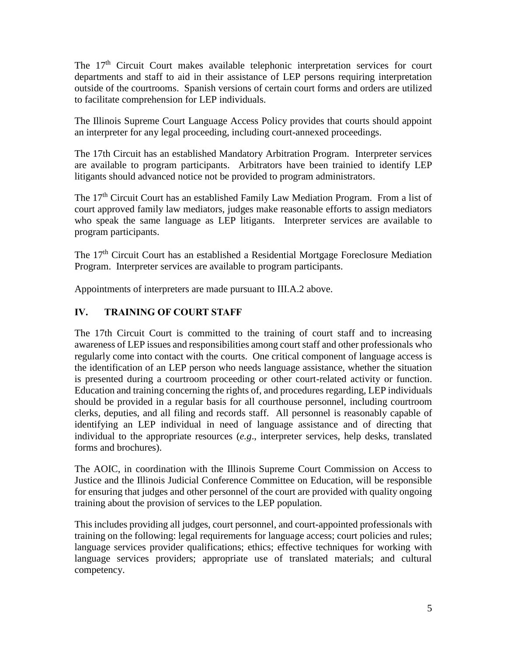The  $17<sup>th</sup>$  Circuit Court makes available telephonic interpretation services for court departments and staff to aid in their assistance of LEP persons requiring interpretation outside of the courtrooms. Spanish versions of certain court forms and orders are utilized to facilitate comprehension for LEP individuals.

The Illinois Supreme Court Language Access Policy provides that courts should appoint an interpreter for any legal proceeding, including court-annexed proceedings.

The 17th Circuit has an established Mandatory Arbitration Program. Interpreter services are available to program participants. Arbitrators have been trainied to identify LEP litigants should advanced notice not be provided to program administrators.

The 17<sup>th</sup> Circuit Court has an established Family Law Mediation Program. From a list of court approved family law mediators, judges make reasonable efforts to assign mediators who speak the same language as LEP litigants. Interpreter services are available to program participants.

The  $17<sup>th</sup>$  Circuit Court has an established a Residential Mortgage Foreclosure Mediation Program. Interpreter services are available to program participants.

Appointments of interpreters are made pursuant to III.A.2 above.

## **IV. TRAINING OF COURT STAFF**

The 17th Circuit Court is committed to the training of court staff and to increasing awareness of LEP issues and responsibilities among court staff and other professionals who regularly come into contact with the courts. One critical component of language access is the identification of an LEP person who needs language assistance, whether the situation is presented during a courtroom proceeding or other court-related activity or function. Education and training concerning the rights of, and procedures regarding, LEP individuals should be provided in a regular basis for all courthouse personnel, including courtroom clerks, deputies, and all filing and records staff. All personnel is reasonably capable of identifying an LEP individual in need of language assistance and of directing that individual to the appropriate resources (*e.g*., interpreter services, help desks, translated forms and brochures).

The AOIC, in coordination with the Illinois Supreme Court Commission on Access to Justice and the Illinois Judicial Conference Committee on Education, will be responsible for ensuring that judges and other personnel of the court are provided with quality ongoing training about the provision of services to the LEP population.

This includes providing all judges, court personnel, and court-appointed professionals with training on the following: legal requirements for language access; court policies and rules; language services provider qualifications; ethics; effective techniques for working with language services providers; appropriate use of translated materials; and cultural competency.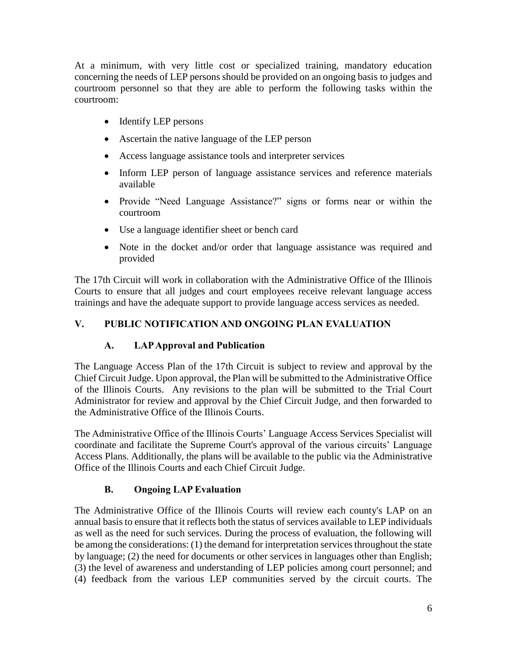At a minimum, with very little cost or specialized training, mandatory education concerning the needs of LEP persons should be provided on an ongoing basis to judges and courtroom personnel so that they are able to perform the following tasks within the courtroom:

- Identify LEP persons
- Ascertain the native language of the LEP person
- Access language assistance tools and interpreter services
- Inform LEP person of language assistance services and reference materials available
- Provide "Need Language Assistance?" signs or forms near or within the courtroom
- Use a language identifier sheet or bench card
- Note in the docket and/or order that language assistance was required and provided

The 17th Circuit will work in collaboration with the Administrative Office of the Illinois Courts to ensure that all judges and court employees receive relevant language access trainings and have the adequate support to provide language access services as needed.

# **V. PUBLIC NOTIFICATION AND ONGOING PLAN EVALUATION**

# **A. LAP Approval and Publication**

The Language Access Plan of the 17th Circuit is subject to review and approval by the Chief Circuit Judge. Upon approval, the Plan will be submitted to the Administrative Office of the Illinois Courts. Any revisions to the plan will be submitted to the Trial Court Administrator for review and approval by the Chief Circuit Judge, and then forwarded to the Administrative Office of the Illinois Courts.

The Administrative Office of the Illinois Courts' Language Access Services Specialist will coordinate and facilitate the Supreme Court's approval of the various circuits' Language Access Plans. Additionally, the plans will be available to the public via the Administrative Office of the Illinois Courts and each Chief Circuit Judge.

# **B. Ongoing LAP Evaluation**

The Administrative Office of the Illinois Courts will review each county's LAP on an annual basis to ensure that it reflects both the status of services available to LEP individuals as well as the need for such services. During the process of evaluation, the following will be among the considerations: (1) the demand for interpretation services throughout the state by language; (2) the need for documents or other services in languages other than English; (3) the level of awareness and understanding of LEP policies among court personnel; and (4) feedback from the various LEP communities served by the circuit courts. The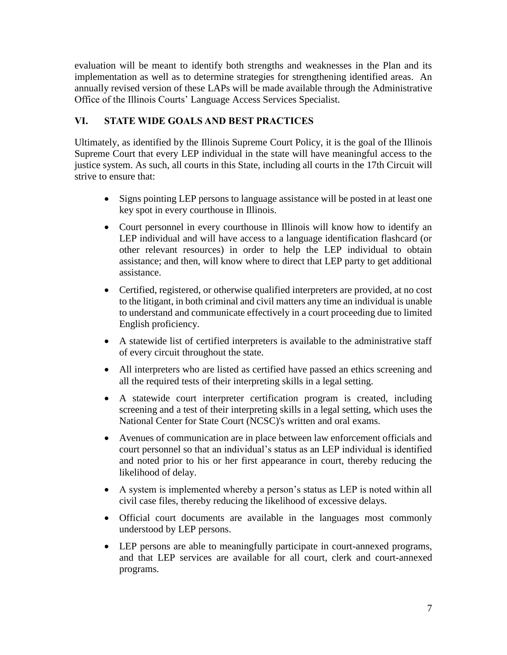evaluation will be meant to identify both strengths and weaknesses in the Plan and its implementation as well as to determine strategies for strengthening identified areas. An annually revised version of these LAPs will be made available through the Administrative Office of the Illinois Courts' Language Access Services Specialist.

## **VI. STATE WIDE GOALS AND BEST PRACTICES**

Ultimately, as identified by the Illinois Supreme Court Policy, it is the goal of the Illinois Supreme Court that every LEP individual in the state will have meaningful access to the justice system. As such, all courts in this State, including all courts in the 17th Circuit will strive to ensure that:

- Signs pointing LEP persons to language assistance will be posted in at least one key spot in every courthouse in Illinois.
- Court personnel in every courthouse in Illinois will know how to identify an LEP individual and will have access to a language identification flashcard (or other relevant resources) in order to help the LEP individual to obtain assistance; and then, will know where to direct that LEP party to get additional assistance.
- Certified, registered, or otherwise qualified interpreters are provided, at no cost to the litigant, in both criminal and civil matters any time an individual is unable to understand and communicate effectively in a court proceeding due to limited English proficiency.
- A statewide list of certified interpreters is available to the administrative staff of every circuit throughout the state.
- All interpreters who are listed as certified have passed an ethics screening and all the required tests of their interpreting skills in a legal setting.
- A statewide court interpreter certification program is created, including screening and a test of their interpreting skills in a legal setting, which uses the National Center for State Court (NCSC)'s written and oral exams.
- Avenues of communication are in place between law enforcement officials and court personnel so that an individual's status as an LEP individual is identified and noted prior to his or her first appearance in court, thereby reducing the likelihood of delay.
- A system is implemented whereby a person's status as LEP is noted within all civil case files, thereby reducing the likelihood of excessive delays.
- Official court documents are available in the languages most commonly understood by LEP persons.
- LEP persons are able to meaningfully participate in court-annexed programs, and that LEP services are available for all court, clerk and court-annexed programs.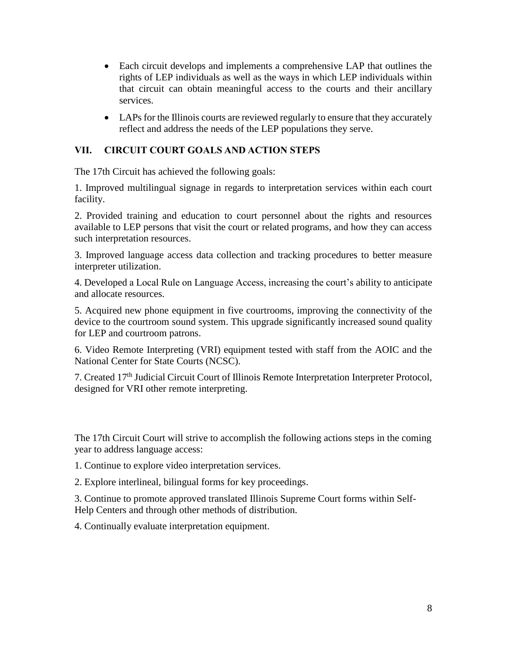- Each circuit develops and implements a comprehensive LAP that outlines the rights of LEP individuals as well as the ways in which LEP individuals within that circuit can obtain meaningful access to the courts and their ancillary services.
- LAPs for the Illinois courts are reviewed regularly to ensure that they accurately reflect and address the needs of the LEP populations they serve.

## **VII. CIRCUIT COURT GOALS AND ACTION STEPS**

The 17th Circuit has achieved the following goals:

1. Improved multilingual signage in regards to interpretation services within each court facility.

2. Provided training and education to court personnel about the rights and resources available to LEP persons that visit the court or related programs, and how they can access such interpretation resources.

3. Improved language access data collection and tracking procedures to better measure interpreter utilization.

4. Developed a Local Rule on Language Access, increasing the court's ability to anticipate and allocate resources.

5. Acquired new phone equipment in five courtrooms, improving the connectivity of the device to the courtroom sound system. This upgrade significantly increased sound quality for LEP and courtroom patrons.

6. Video Remote Interpreting (VRI) equipment tested with staff from the AOIC and the National Center for State Courts (NCSC).

7. Created 17<sup>th</sup> Judicial Circuit Court of Illinois Remote Interpretation Interpreter Protocol, designed for VRI other remote interpreting.

The 17th Circuit Court will strive to accomplish the following actions steps in the coming year to address language access:

1. Continue to explore video interpretation services.

2. Explore interlineal, bilingual forms for key proceedings.

3. Continue to promote approved translated Illinois Supreme Court forms within Self-Help Centers and through other methods of distribution.

4. Continually evaluate interpretation equipment.